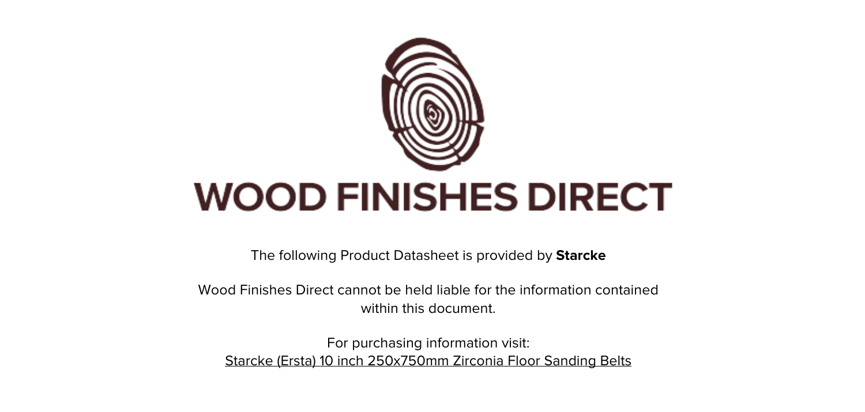

The following Product Datasheet is provided by **Starcke**

Wood Finishes Direct cannot be held liable for the information contained within this document.

For purchasing information visit: [Starcke \(Ersta\) 10 inch 250x750mm Zirconia Floor Sanding Belts](https://www.wood-finishes-direct.com/product/starcke-belt-341x-zirconia-250-750)